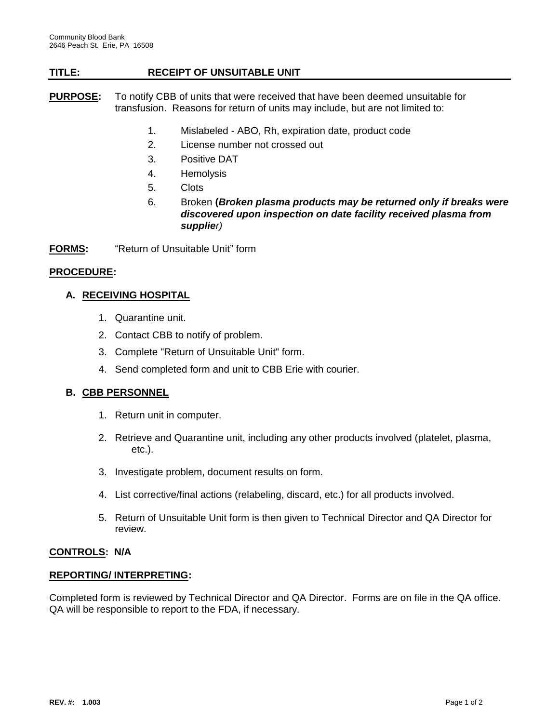# **TITLE: RECEIPT OF UNSUITABLE UNIT**

**PURPOSE:** To notify CBB of units that were received that have been deemed unsuitable for transfusion. Reasons for return of units may include, but are not limited to:

- 1. Mislabeled ABO, Rh, expiration date, product code
- 2. License number not crossed out
- 3. Positive DAT
- 4. Hemolysis
- 5. Clots
- 6. Broken **(***Broken plasma products may be returned only if breaks were discovered upon inspection on date facility received plasma from supplier)*

**FORMS:** "Return of Unsuitable Unit" form

### **PROCEDURE:**

# **A. RECEIVING HOSPITAL**

- 1. Quarantine unit.
- 2. Contact CBB to notify of problem.
- 3. Complete "Return of Unsuitable Unit" form.
- 4. Send completed form and unit to CBB Erie with courier.

### **B. CBB PERSONNEL**

- 1. Return unit in computer.
- 2. Retrieve and Quarantine unit, including any other products involved (platelet, plasma, etc.).
- 3. Investigate problem, document results on form.
- 4. List corrective/final actions (relabeling, discard, etc.) for all products involved.
- 5. Return of Unsuitable Unit form is then given to Technical Director and QA Director for review.

### **CONTROLS: N/A**

#### **REPORTING/ INTERPRETING:**

Completed form is reviewed by Technical Director and QA Director. Forms are on file in the QA office. QA will be responsible to report to the FDA, if necessary.